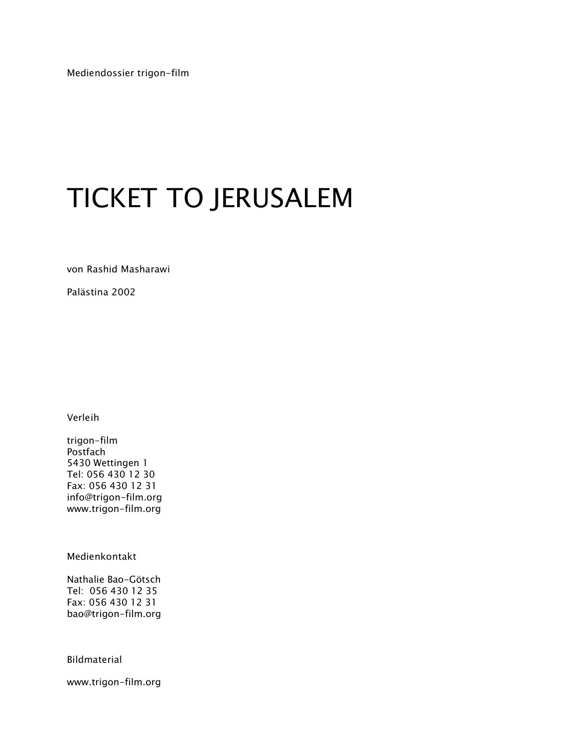Mediendossier trigon-film

# TICKET TO JERUSALEM

von Rashid Masharawi

Palästina 2002

Verleih

trigon-film Postfach 5430 Wettingen 1 Tel: 056 430 12 30 Fax: 056 430 12 31 info@trigon-film.org www.trigon-film.org

Medienkontakt

Nathalie Bao-Götsch Tel: 056 430 12 35 Fax: 056 430 12 31 bao@trigon-film.org

Bildmaterial

www.trigon-film.org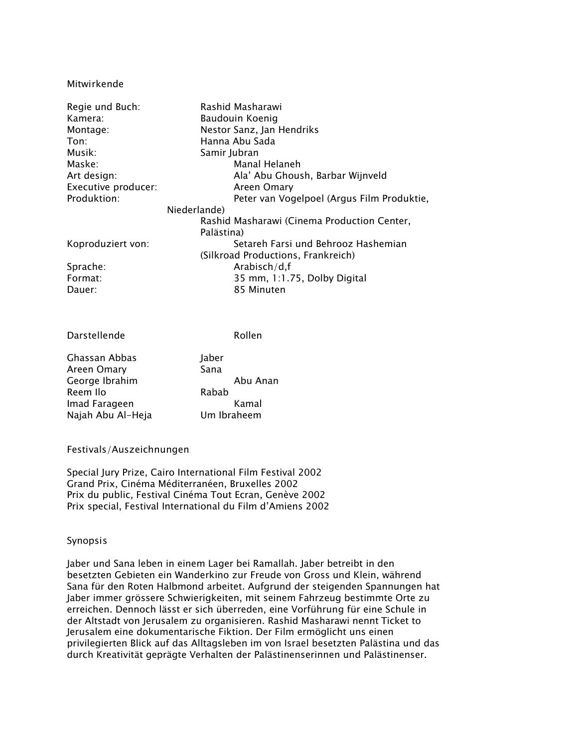#### Mitwirkende

| Regie und Buch:     | Rashid Masharawi                            |  |  |
|---------------------|---------------------------------------------|--|--|
| Kamera:             | Baudouin Koenig                             |  |  |
| Montage:            | Nestor Sanz, Jan Hendriks                   |  |  |
| $T$ on:             | Hanna Abu Sada                              |  |  |
| Musik:              | Samir Jubran                                |  |  |
| Maske:              | Manal Helaneh                               |  |  |
| Art design:         | Ala' Abu Ghoush, Barbar Wijnveld            |  |  |
| Executive producer: | Areen Omary                                 |  |  |
| Produktion:         | Peter van Vogelpoel (Argus Film Produktie,  |  |  |
|                     | Niederlande)                                |  |  |
|                     | Rashid Masharawi (Cinema Production Center, |  |  |
|                     | Palästina)                                  |  |  |
| Koproduziert von:   | Setareh Farsi und Behrooz Hashemian         |  |  |
|                     | (Silkroad Productions, Frankreich)          |  |  |
| Sprache:            | Arabisch/d,f                                |  |  |
| Format:             | 35 mm, 1:1.75, Dolby Digital                |  |  |
| Dauer:              | 85 Minuten                                  |  |  |

Darstellende Rollen

Abu Anan

| Ghassan Abbas     | Jaber       |
|-------------------|-------------|
| Areen Omary       | Sana        |
| George Ibrahim    | Abu Ai      |
| Reem Ilo          | Rabab       |
| Imad Farageen     | Kamal       |
| Najah Abu Al-Heja | Um Ibraheem |

#### Festivals/Auszeichnungen

Special Jury Prize, Cairo International Film Festival 2002 Grand Prix, Cinéma Méditerranéen, Bruxelles 2002 Prix du public, Festival Cinéma Tout Ecran, Genève 2002 Prix special, Festival International du Film d'Amiens 2002

### Synopsis

Jaber und Sana leben in einem Lager bei Ramallah. Jaber betreibt in den besetzten Gebieten ein Wanderkino zur Freude von Gross und Klein, während Sana für den Roten Halbmond arbeitet. Aufgrund der steigenden Spannungen hat Jaber immer grössere Schwierigkeiten, mit seinem Fahrzeug bestimmte Orte zu erreichen. Dennoch lässt er sich überreden, eine Vorführung für eine Schule in der Altstadt von Jerusalem zu organisieren. Rashid Masharawi nennt Ticket to Jerusalem eine dokumentarische Fiktion. Der Film ermöglicht uns einen privilegierten Blick auf das Alltagsleben im von Israel besetzten Palästina und das durch Kreativität geprägte Verhalten der Palästinenserinnen und Palästinenser.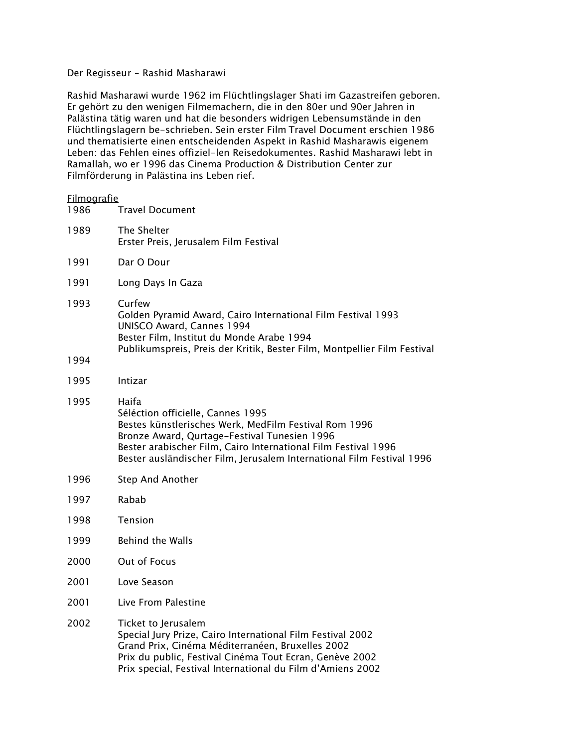## Der Regisseur – Rashid Masharawi

Rashid Masharawi wurde 1962 im Flüchtlingslager Shati im Gazastreifen geboren. Er gehört zu den wenigen Filmemachern, die in den 80er und 90er Jahren in Palästina tätig waren und hat die besonders widrigen Lebensumstände in den Flüchtlingslagern be-schrieben. Sein erster Film Travel Document erschien 1986 und thematisierte einen entscheidenden Aspekt in Rashid Masharawis eigenem Leben: das Fehlen eines offiziel-len Reisedokumentes. Rashid Masharawi lebt in Ramallah, wo er 1996 das Cinema Production & Distribution Center zur Filmförderung in Palästina ins Leben rief.

# <u>Filmografie</u><br>1986 -

| 1986 | <b>Travel Document</b>                                                                                                                                                                                                                                                                         |
|------|------------------------------------------------------------------------------------------------------------------------------------------------------------------------------------------------------------------------------------------------------------------------------------------------|
| 1989 | The Shelter<br>Erster Preis, Jerusalem Film Festival                                                                                                                                                                                                                                           |
| 1991 | Dar O Dour                                                                                                                                                                                                                                                                                     |
| 1991 | Long Days In Gaza                                                                                                                                                                                                                                                                              |
| 1993 | Curfew<br>Golden Pyramid Award, Cairo International Film Festival 1993<br>UNISCO Award, Cannes 1994<br>Bester Film, Institut du Monde Arabe 1994<br>Publikumspreis, Preis der Kritik, Bester Film, Montpellier Film Festival                                                                   |
| 1994 |                                                                                                                                                                                                                                                                                                |
| 1995 | Intizar                                                                                                                                                                                                                                                                                        |
| 1995 | Haifa<br>Séléction officielle, Cannes 1995<br>Bestes künstlerisches Werk, MedFilm Festival Rom 1996<br>Bronze Award, Qurtage-Festival Tunesien 1996<br>Bester arabischer Film, Cairo International Film Festival 1996<br>Bester ausländischer Film, Jerusalem International Film Festival 1996 |
| 1996 | <b>Step And Another</b>                                                                                                                                                                                                                                                                        |
| 1997 | Rabab                                                                                                                                                                                                                                                                                          |
| 1998 | Tension                                                                                                                                                                                                                                                                                        |
| 1999 | <b>Behind the Walls</b>                                                                                                                                                                                                                                                                        |
| 2000 | Out of Focus                                                                                                                                                                                                                                                                                   |
| 2001 | Love Season                                                                                                                                                                                                                                                                                    |
| 2001 | Live From Palestine                                                                                                                                                                                                                                                                            |
| 2002 | Ticket to Jerusalem                                                                                                                                                                                                                                                                            |

Special Jury Prize, Cairo International Film Festival 2002 Grand Prix, Cinéma Méditerranéen, Bruxelles 2002 Prix du public, Festival Cinéma Tout Ecran, Genève 2002 Prix special, Festival International du Film d'Amiens 2002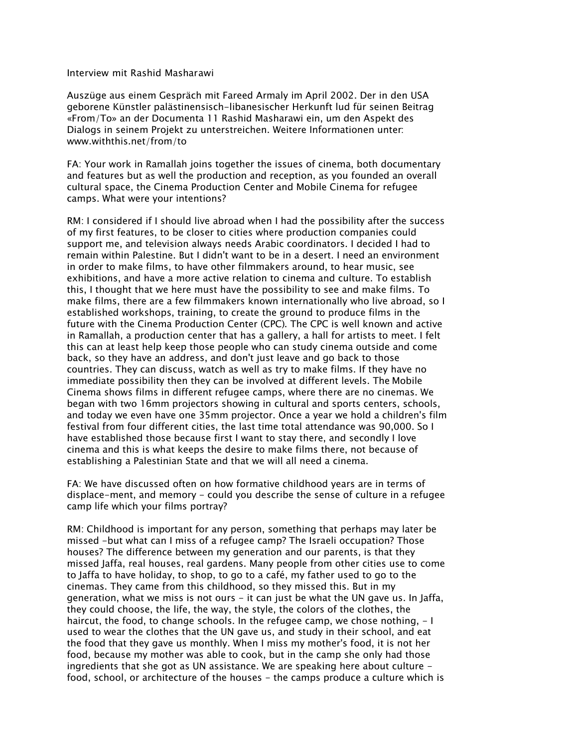#### Interview mit Rashid Masharawi

Auszüge aus einem Gespräch mit Fareed Armaly im April 2002. Der in den USA geborene Künstler palästinensisch-libanesischer Herkunft lud für seinen Beitrag «From/To» an der Documenta 11 Rashid Masharawi ein, um den Aspekt des Dialogs in seinem Projekt zu unterstreichen. Weitere Informationen unter: www.withthis.net/from/to

FA: Your work in Ramallah joins together the issues of cinema, both documentary and features but as well the production and reception, as you founded an overall cultural space, the Cinema Production Center and Mobile Cinema for refugee camps. What were your intentions?

RM: I considered if I should live abroad when I had the possibility after the success of my first features, to be closer to cities where production companies could support me, and television always needs Arabic coordinators. I decided I had to remain within Palestine. But I didn't want to be in a desert. I need an environment in order to make films, to have other filmmakers around, to hear music, see exhibitions, and have a more active relation to cinema and culture. To establish this, I thought that we here must have the possibility to see and make films. To make films, there are a few filmmakers known internationally who live abroad, so I established workshops, training, to create the ground to produce films in the future with the Cinema Production Center (CPC). The CPC is well known and active in Ramallah, a production center that has a gallery, a hall for artists to meet. I felt this can at least help keep those people who can study cinema outside and come back, so they have an address, and don't just leave and go back to those countries. They can discuss, watch as well as try to make films. If they have no immediate possibility then they can be involved at different levels. The Mobile Cinema shows films in different refugee camps, where there are no cinemas. We began with two 16mm projectors showing in cultural and sports centers, schools, and today we even have one 35mm projector. Once a year we hold a children's film festival from four different cities, the last time total attendance was 90,000. So I have established those because first I want to stay there, and secondly I love cinema and this is what keeps the desire to make films there, not because of establishing a Palestinian State and that we will all need a cinema.

FA: We have discussed often on how formative childhood years are in terms of displace-ment, and memory - could you describe the sense of culture in a refugee camp life which your films portray?

RM: Childhood is important for any person, something that perhaps may later be missed -but what can I miss of a refugee camp? The Israeli occupation? Those houses? The difference between my generation and our parents, is that they missed Jaffa, real houses, real gardens. Many people from other cities use to come to Jaffa to have holiday, to shop, to go to a café, my father used to go to the cinemas. They came from this childhood, so they missed this. But in my generation, what we miss is not ours - it can just be what the UN gave us. In Jaffa, they could choose, the life, the way, the style, the colors of the clothes, the haircut, the food, to change schools. In the refugee camp, we chose nothing, - I used to wear the clothes that the UN gave us, and study in their school, and eat the food that they gave us monthly. When I miss my mother's food, it is not her food, because my mother was able to cook, but in the camp she only had those ingredients that she got as UN assistance. We are speaking here about culture food, school, or architecture of the houses - the camps produce a culture which is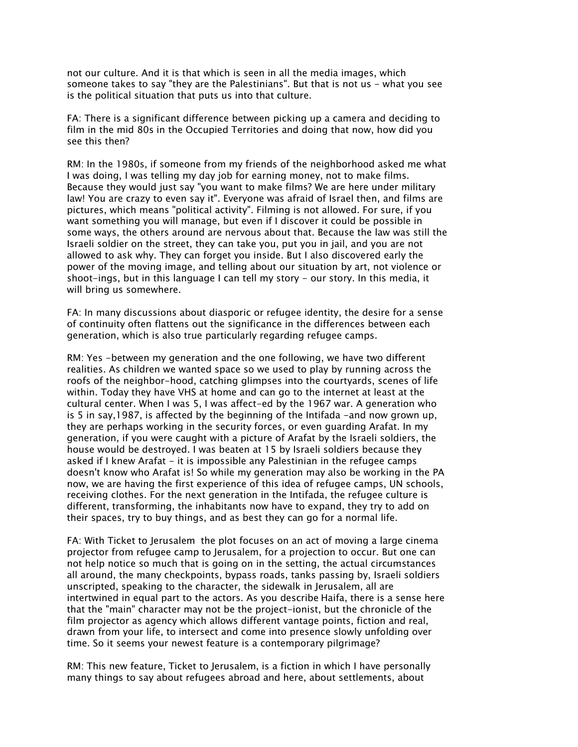not our culture. And it is that which is seen in all the media images, which someone takes to say "they are the Palestinians". But that is not us - what you see is the political situation that puts us into that culture.

FA: There is a significant difference between picking up a camera and deciding to film in the mid 80s in the Occupied Territories and doing that now, how did you see this then?

RM: In the 1980s, if someone from my friends of the neighborhood asked me what I was doing, I was telling my day job for earning money, not to make films. Because they would just say "you want to make films? We are here under military law! You are crazy to even say it". Everyone was afraid of Israel then, and films are pictures, which means "political activity". Filming is not allowed. For sure, if you want something you will manage, but even if I discover it could be possible in some ways, the others around are nervous about that. Because the law was still the Israeli soldier on the street, they can take you, put you in jail, and you are not allowed to ask why. They can forget you inside. But I also discovered early the power of the moving image, and telling about our situation by art, not violence or shoot-ings, but in this language I can tell my story - our story. In this media, it will bring us somewhere.

FA: In many discussions about diasporic or refugee identity, the desire for a sense of continuity often flattens out the significance in the differences between each generation, which is also true particularly regarding refugee camps.

RM: Yes -between my generation and the one following, we have two different realities. As children we wanted space so we used to play by running across the roofs of the neighbor-hood, catching glimpses into the courtyards, scenes of life within. Today they have VHS at home and can go to the internet at least at the cultural center. When I was 5, I was affect-ed by the 1967 war. A generation who is 5 in say, 1987, is affected by the beginning of the Intifada -and now grown up, they are perhaps working in the security forces, or even guarding Arafat. In my generation, if you were caught with a picture of Arafat by the Israeli soldiers, the house would be destroyed. I was beaten at 15 by Israeli soldiers because they asked if I knew Arafat - it is impossible any Palestinian in the refugee camps doesn't know who Arafat is! So while my generation may also be working in the PA now, we are having the first experience of this idea of refugee camps, UN schools, receiving clothes. For the next generation in the Intifada, the refugee culture is different, transforming, the inhabitants now have to expand, they try to add on their spaces, try to buy things, and as best they can go for a normal life.

FA: With Ticket to Jerusalem the plot focuses on an act of moving a large cinema projector from refugee camp to Jerusalem, for a projection to occur. But one can not help notice so much that is going on in the setting, the actual circumstances all around, the many checkpoints, bypass roads, tanks passing by, Israeli soldiers unscripted, speaking to the character, the sidewalk in Jerusalem, all are intertwined in equal part to the actors. As you describe Haifa, there is a sense here that the "main" character may not be the project-ionist, but the chronicle of the film projector as agency which allows different vantage points, fiction and real, drawn from your life, to intersect and come into presence slowly unfolding over time. So it seems your newest feature is a contemporary pilgrimage?

RM: This new feature, Ticket to Jerusalem, is a fiction in which I have personally many things to say about refugees abroad and here, about settlements, about